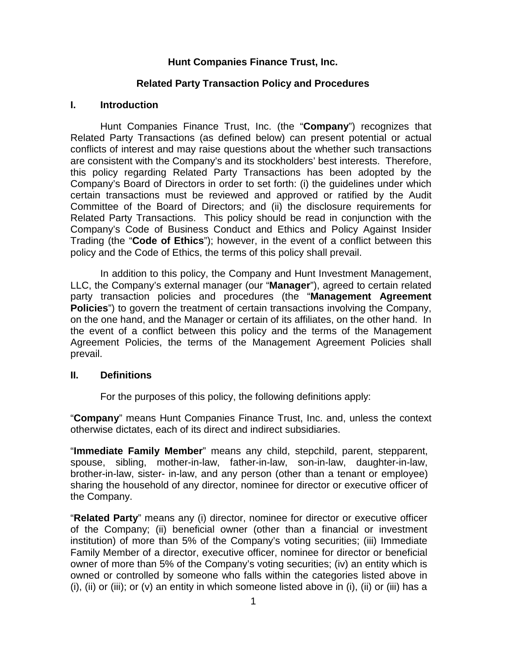## **Hunt Companies Finance Trust, Inc.**

## **Related Party Transaction Policy and Procedures**

#### **I. Introduction**

Hunt Companies Finance Trust, Inc. (the "**Company**") recognizes that Related Party Transactions (as defined below) can present potential or actual conflicts of interest and may raise questions about the whether such transactions are consistent with the Company's and its stockholders' best interests. Therefore, this policy regarding Related Party Transactions has been adopted by the Company's Board of Directors in order to set forth: (i) the guidelines under which certain transactions must be reviewed and approved or ratified by the Audit Committee of the Board of Directors; and (ii) the disclosure requirements for Related Party Transactions. This policy should be read in conjunction with the Company's Code of Business Conduct and Ethics and Policy Against Insider Trading (the "**Code of Ethics**"); however, in the event of a conflict between this policy and the Code of Ethics, the terms of this policy shall prevail.

In addition to this policy, the Company and Hunt Investment Management, LLC, the Company's external manager (our "**Manager**"), agreed to certain related party transaction policies and procedures (the "**Management Agreement Policies**") to govern the treatment of certain transactions involving the Company, on the one hand, and the Manager or certain of its affiliates, on the other hand. In the event of a conflict between this policy and the terms of the Management Agreement Policies, the terms of the Management Agreement Policies shall prevail.

#### **II. Definitions**

For the purposes of this policy, the following definitions apply:

"**Company**" means Hunt Companies Finance Trust, Inc. and, unless the context otherwise dictates, each of its direct and indirect subsidiaries.

"**Immediate Family Member**" means any child, stepchild, parent, stepparent, spouse, sibling, mother-in-law, father-in-law, son-in-law, daughter-in-law, brother-in-law, sister- in-law, and any person (other than a tenant or employee) sharing the household of any director, nominee for director or executive officer of the Company.

"**Related Party**" means any (i) director, nominee for director or executive officer of the Company; (ii) beneficial owner (other than a financial or investment institution) of more than 5% of the Company's voting securities; (iii) Immediate Family Member of a director, executive officer, nominee for director or beneficial owner of more than 5% of the Company's voting securities; (iv) an entity which is owned or controlled by someone who falls within the categories listed above in (i), (ii) or (iii); or (v) an entity in which someone listed above in (i), (ii) or (iii) has a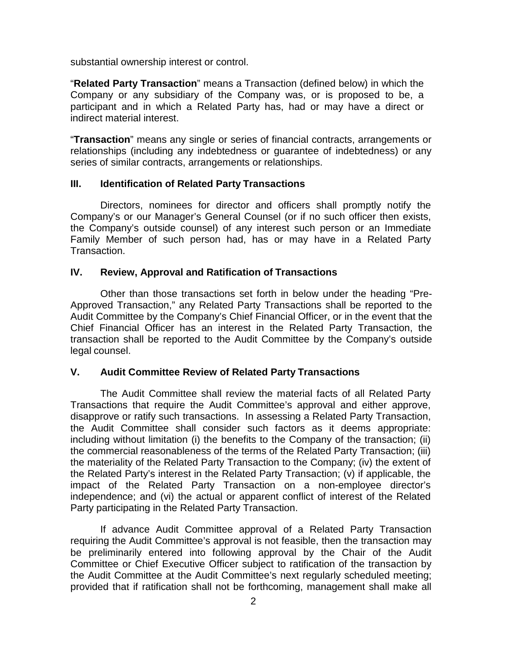substantial ownership interest or control.

"**Related Party Transaction**" means a Transaction (defined below) in which the Company or any subsidiary of the Company was, or is proposed to be, a participant and in which a Related Party has, had or may have a direct or indirect material interest.

"**Transaction**" means any single or series of financial contracts, arrangements or relationships (including any indebtedness or guarantee of indebtedness) or any series of similar contracts, arrangements or relationships.

# **III. Identification of Related Party Transactions**

Directors, nominees for director and officers shall promptly notify the Company's or our Manager's General Counsel (or if no such officer then exists, the Company's outside counsel) of any interest such person or an Immediate Family Member of such person had, has or may have in a Related Party Transaction.

# **IV. Review, Approval and Ratification of Transactions**

Other than those transactions set forth in below under the heading "Pre-Approved Transaction," any Related Party Transactions shall be reported to the Audit Committee by the Company's Chief Financial Officer, or in the event that the Chief Financial Officer has an interest in the Related Party Transaction, the transaction shall be reported to the Audit Committee by the Company's outside legal counsel.

# **V. Audit Committee Review of Related Party Transactions**

The Audit Committee shall review the material facts of all Related Party Transactions that require the Audit Committee's approval and either approve, disapprove or ratify such transactions. In assessing a Related Party Transaction, the Audit Committee shall consider such factors as it deems appropriate: including without limitation (i) the benefits to the Company of the transaction; (ii) the commercial reasonableness of the terms of the Related Party Transaction; (iii) the materiality of the Related Party Transaction to the Company; (iv) the extent of the Related Party's interest in the Related Party Transaction; (v) if applicable, the impact of the Related Party Transaction on a non-employee director's independence; and (vi) the actual or apparent conflict of interest of the Related Party participating in the Related Party Transaction.

If advance Audit Committee approval of a Related Party Transaction requiring the Audit Committee's approval is not feasible, then the transaction may be preliminarily entered into following approval by the Chair of the Audit Committee or Chief Executive Officer subject to ratification of the transaction by the Audit Committee at the Audit Committee's next regularly scheduled meeting; provided that if ratification shall not be forthcoming, management shall make all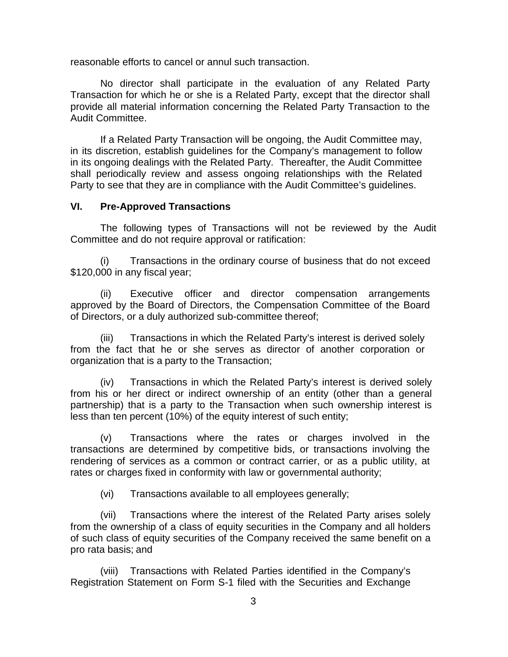reasonable efforts to cancel or annul such transaction.

No director shall participate in the evaluation of any Related Party Transaction for which he or she is a Related Party, except that the director shall provide all material information concerning the Related Party Transaction to the Audit Committee.

If a Related Party Transaction will be ongoing, the Audit Committee may, in its discretion, establish guidelines for the Company's management to follow in its ongoing dealings with the Related Party. Thereafter, the Audit Committee shall periodically review and assess ongoing relationships with the Related Party to see that they are in compliance with the Audit Committee's guidelines.

#### **VI. Pre-Approved Transactions**

The following types of Transactions will not be reviewed by the Audit Committee and do not require approval or ratification:

(i) Transactions in the ordinary course of business that do not exceed \$120,000 in any fiscal year;

(ii) Executive officer and director compensation arrangements approved by the Board of Directors, the Compensation Committee of the Board of Directors, or a duly authorized sub-committee thereof;

(iii) Transactions in which the Related Party's interest is derived solely from the fact that he or she serves as director of another corporation or organization that is a party to the Transaction;

(iv) Transactions in which the Related Party's interest is derived solely from his or her direct or indirect ownership of an entity (other than a general partnership) that is a party to the Transaction when such ownership interest is less than ten percent (10%) of the equity interest of such entity;

(v) Transactions where the rates or charges involved in the transactions are determined by competitive bids, or transactions involving the rendering of services as a common or contract carrier, or as a public utility, at rates or charges fixed in conformity with law or governmental authority;

(vi) Transactions available to all employees generally;

(vii) Transactions where the interest of the Related Party arises solely from the ownership of a class of equity securities in the Company and all holders of such class of equity securities of the Company received the same benefit on a pro rata basis; and

(viii) Transactions with Related Parties identified in the Company's Registration Statement on Form S-1 filed with the Securities and Exchange